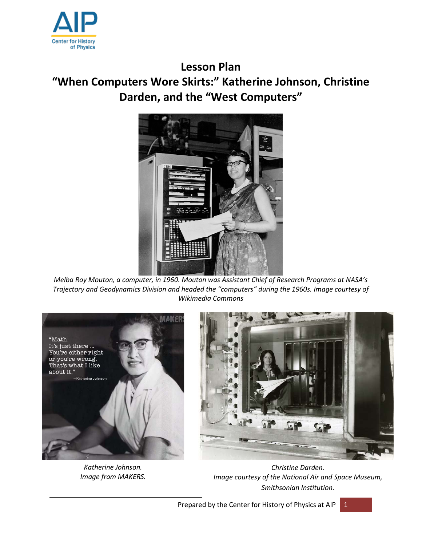

## **Lesson Plan**

# **"When Computers Wore Skirts:" Katherine Johnson, Christine Darden, and the "West Computers"**



*Melba Roy Mouton, a computer, in 1960. Mouton was Assistant Chief of Research Programs at NASA's Trajectory and Geodynamics Division and headed the "computers" during the 1960s. Image courtesy of Wikimedia Commons*



*Katherine Johnson. Image from MAKERS.*

*Christine Darden. Image courtesy of the National Air and Space Museum, Smithsonian Institution.*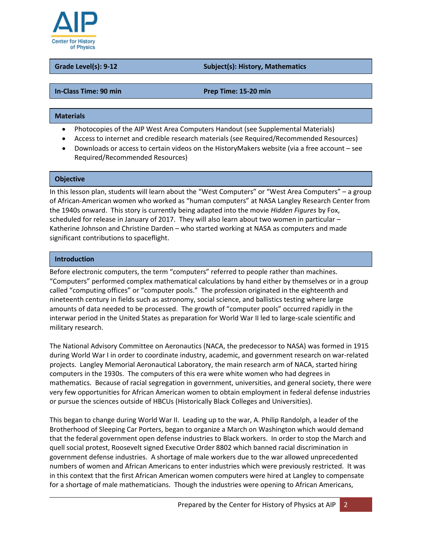

#### **Grade Level(s): 9-12 Subject(s): History, Mathematics**

#### **In-Class Time: 90 min Prep Time: 15-20 min**

#### **Materials**

- Photocopies of the AIP West Area Computers Handout (see Supplemental Materials)
- Access to internet and credible research materials (see Required/Recommended Resources)
- Downloads or access to certain videos on the HistoryMakers website (via a free account see Required/Recommended Resources)

#### **Objective**

In this lesson plan, students will learn about the "West Computers" or "West Area Computers" – a group of African-American women who worked as "human computers" at NASA Langley Research Center from the 1940s onward. This story is currently being adapted into the movie *Hidden Figures* by Fox, scheduled for release in January of 2017. They will also learn about two women in particular – Katherine Johnson and Christine Darden – who started working at NASA as computers and made significant contributions to spaceflight.

#### **Introduction**

Before electronic computers, the term "computers" referred to people rather than machines. "Computers" performed complex mathematical calculations by hand either by themselves or in a group called "computing offices" or "computer pools." The profession originated in the eighteenth and nineteenth century in fields such as astronomy, social science, and ballistics testing where large amounts of data needed to be processed. The growth of "computer pools" occurred rapidly in the interwar period in the United States as preparation for World War II led to large-scale scientific and military research.

The National Advisory Committee on Aeronautics (NACA, the predecessor to NASA) was formed in 1915 during World War I in order to coordinate industry, academic, and government research on war-related projects. Langley Memorial Aeronautical Laboratory, the main research arm of NACA, started hiring computers in the 1930s. The computers of this era were white women who had degrees in mathematics. Because of racial segregation in government, universities, and general society, there were very few opportunities for African American women to obtain employment in federal defense industries or pursue the sciences outside of HBCUs (Historically Black Colleges and Universities).

This began to change during World War II. Leading up to the war, A. Philip Randolph, a leader of the Brotherhood of Sleeping Car Porters, began to organize a March on Washington which would demand that the federal government open defense industries to Black workers. In order to stop the March and quell social protest, Roosevelt signed Executive Order 8802 which banned racial discrimination in government defense industries. A shortage of male workers due to the war allowed unprecedented numbers of women and African Americans to enter industries which were previously restricted. It was in this context that the first African American women computers were hired at Langley to compensate for a shortage of male mathematicians. Though the industries were opening to African Americans,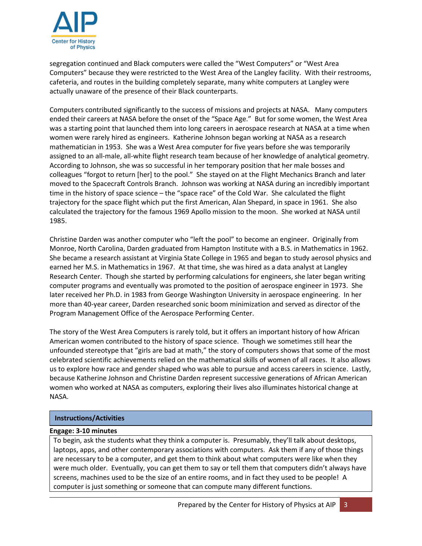

segregation continued and Black computers were called the "West Computers" or "West Area Computers" because they were restricted to the West Area of the Langley facility. With their restrooms, cafeteria, and routes in the building completely separate, many white computers at Langley were actually unaware of the presence of their Black counterparts.

Computers contributed significantly to the success of missions and projects at NASA. Many computers ended their careers at NASA before the onset of the "Space Age." But for some women, the West Area was a starting point that launched them into long careers in aerospace research at NASA at a time when women were rarely hired as engineers. Katherine Johnson began working at NASA as a research mathematician in 1953. She was a West Area computer for five years before she was temporarily assigned to an all-male, all-white flight research team because of her knowledge of analytical geometry. According to Johnson, she was so successful in her temporary position that her male bosses and colleagues "forgot to return [her] to the pool." She stayed on at the Flight Mechanics Branch and later moved to the Spacecraft Controls Branch. Johnson was working at NASA during an incredibly important time in the history of space science – the "space race" of the Cold War. She calculated the flight trajectory for the space flight which put the first American, Alan Shepard, in space in 1961. She also calculated the trajectory for the famous 1969 Apollo mission to the moon. She worked at NASA until 1985.

Christine Darden was another computer who "left the pool" to become an engineer. Originally from Monroe, North Carolina, Darden graduated from Hampton Institute with a B.S. in Mathematics in 1962. She became a research assistant at Virginia State College in 1965 and began to study aerosol physics and earned her M.S. in Mathematics in 1967. At that time, she was hired as a data analyst at Langley Research Center. Though she started by performing calculations for engineers, she later began writing computer programs and eventually was promoted to the position of aerospace engineer in 1973. She later received her Ph.D. in 1983 from George Washington University in aerospace engineering. In her more than 40-year career, Darden researched sonic boom minimization and served as director of the Program Management Office of the Aerospace Performing Center.

The story of the West Area Computers is rarely told, but it offers an important history of how African American women contributed to the history of space science. Though we sometimes still hear the unfounded stereotype that "girls are bad at math," the story of computers shows that some of the most celebrated scientific achievements relied on the mathematical skills of women of all races. It also allows us to explore how race and gender shaped who was able to pursue and access careers in science. Lastly, because Katherine Johnson and Christine Darden represent successive generations of African American women who worked at NASA as computers, exploring their lives also illuminates historical change at NASA.

#### **Instructions/Activities**

#### **Engage: 3-10 minutes**

To begin, ask the students what they think a computer is. Presumably, they'll talk about desktops, laptops, apps, and other contemporary associations with computers. Ask them if any of those things are necessary to be a computer, and get them to think about what computers were like when they were much older. Eventually, you can get them to say or tell them that computers didn't always have screens, machines used to be the size of an entire rooms, and in fact they used to be people! A computer is just something or someone that can compute many different functions.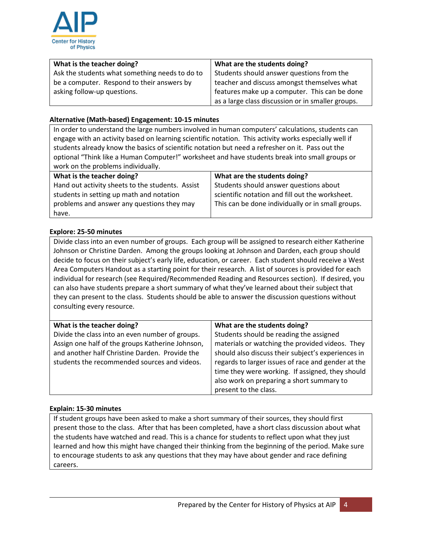

| What is the teacher doing?                     | What are the students doing?                      |
|------------------------------------------------|---------------------------------------------------|
| Ask the students what something needs to do to | Students should answer questions from the         |
| be a computer. Respond to their answers by     | teacher and discuss amongst themselves what       |
| asking follow-up questions.                    | features make up a computer. This can be done     |
|                                                | as a large class discussion or in smaller groups. |

#### **Alternative (Math-based) Engagement: 10-15 minutes**

In order to understand the large numbers involved in human computers' calculations, students can engage with an activity based on learning scientific notation. This activity works especially well if students already know the basics of scientific notation but need a refresher on it. Pass out the optional "Think like a Human Computer!" worksheet and have students break into small groups or work on the problems individually.

| What is the teacher doing?                       | What are the students doing?                      |
|--------------------------------------------------|---------------------------------------------------|
| Hand out activity sheets to the students. Assist | Students should answer questions about            |
| students in setting up math and notation         | scientific notation and fill out the worksheet.   |
| problems and answer any questions they may       | This can be done individually or in small groups. |
| have.                                            |                                                   |

#### **Explore: 25-50 minutes**

Divide class into an even number of groups. Each group will be assigned to research either Katherine Johnson or Christine Darden. Among the groups looking at Johnson and Darden, each group should decide to focus on their subject's early life, education, or career. Each student should receive a West Area Computers Handout as a starting point for their research. A list of sources is provided for each individual for research (see Required/Recommended Reading and Resources section). If desired, you can also have students prepare a short summary of what they've learned about their subject that they can present to the class. Students should be able to answer the discussion questions without consulting every resource.

| What is the teacher doing?                       | What are the students doing?                       |
|--------------------------------------------------|----------------------------------------------------|
| Divide the class into an even number of groups.  | Students should be reading the assigned            |
| Assign one half of the groups Katherine Johnson, | materials or watching the provided videos. They    |
| and another half Christine Darden. Provide the   | should also discuss their subject's experiences in |
| students the recommended sources and videos.     | regards to larger issues of race and gender at the |
|                                                  | time they were working. If assigned, they should   |
|                                                  | also work on preparing a short summary to          |
|                                                  | present to the class.                              |

#### **Explain: 15-30 minutes**

If student groups have been asked to make a short summary of their sources, they should first present those to the class. After that has been completed, have a short class discussion about what the students have watched and read. This is a chance for students to reflect upon what they just learned and how this might have changed their thinking from the beginning of the period. Make sure to encourage students to ask any questions that they may have about gender and race defining careers.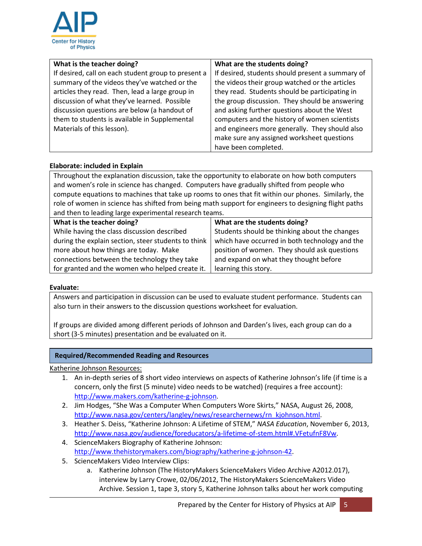

| What is the teacher doing?                          | What are the students doing?                     |
|-----------------------------------------------------|--------------------------------------------------|
| If desired, call on each student group to present a | If desired, students should present a summary of |
| summary of the videos they've watched or the        | the videos their group watched or the articles   |
| articles they read. Then, lead a large group in     | they read. Students should be participating in   |
| discussion of what they've learned. Possible        | the group discussion. They should be answering   |
| discussion questions are below (a handout of        | and asking further questions about the West      |
| them to students is available in Supplemental       | computers and the history of women scientists    |
| Materials of this lesson).                          | and engineers more generally. They should also   |
|                                                     | make sure any assigned worksheet questions       |
|                                                     | have been completed.                             |

#### **Elaborate: included in Explain**

Throughout the explanation discussion, take the opportunity to elaborate on how both computers and women's role in science has changed. Computers have gradually shifted from people who compute equations to machines that take up rooms to ones that fit within our phones. Similarly, the role of women in science has shifted from being math support for engineers to designing flight paths and then to leading large experimental research teams.

| What is the teacher doing?                          | What are the students doing?                   |
|-----------------------------------------------------|------------------------------------------------|
| While having the class discussion described         | Students should be thinking about the changes  |
| during the explain section, steer students to think | which have occurred in both technology and the |
| more about how things are today. Make               | position of women. They should ask questions   |
| connections between the technology they take        | and expand on what they thought before         |
| for granted and the women who helped create it.     | learning this story.                           |

#### **Evaluate:**

Answers and participation in discussion can be used to evaluate student performance. Students can also turn in their answers to the discussion questions worksheet for evaluation.

If groups are divided among different periods of Johnson and Darden's lives, each group can do a short (3-5 minutes) presentation and be evaluated on it.

#### **Required/Recommended Reading and Resources**

Katherine Johnson Resources:

- 1. An in-depth series of 8 short video interviews on aspects of Katherine Johnson's life (if time is a concern, only the first (5 minute) video needs to be watched) (requires a free account): [http://www.makers.com/katherine-g-johnson.](http://www.makers.com/katherine-g-johnson)
- 2. Jim Hodges, "She Was a Computer When Computers Wore Skirts," NASA, August 26, 2008, [http://www.nasa.gov/centers/langley/news/researchernews/rn\\_kjohnson.html.](http://www.nasa.gov/centers/langley/news/researchernews/rn_kjohnson.html)
- 3. Heather S. Deiss, "Katherine Johnson: A Lifetime of STEM," *NASA Education*, November 6, 2013, [http://www.nasa.gov/audience/foreducators/a-lifetime-of-stem.html#.VFetufnF8Vw.](http://www.nasa.gov/audience/foreducators/a-lifetime-of-stem.html#.VFetufnF8Vw)
- 4. ScienceMakers Biography of Katherine Johnson: [http://www.thehistorymakers.com/biography/katherine-g-johnson-42.](http://www.thehistorymakers.com/biography/katherine-g-johnson-42)
- 5. ScienceMakers Video Interview Clips:
	- a. Katherine Johnson (The HistoryMakers ScienceMakers Video Archive A2012.017), interview by Larry Crowe, 02/06/2012, The HistoryMakers ScienceMakers Video Archive. Session 1, tape 3, story 5, Katherine Johnson talks about her work computing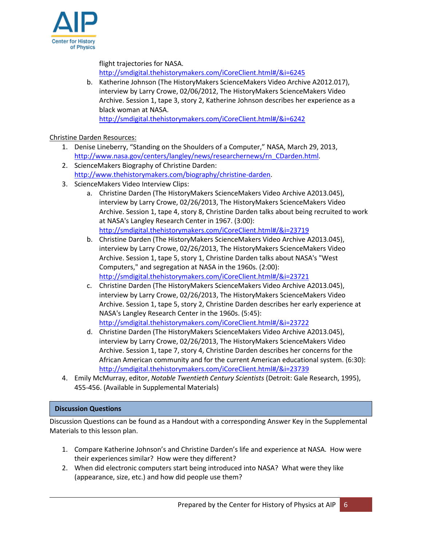

flight trajectories for NASA.

[http://smdigital.thehistorymakers.com/iCoreClient.html#/&i=6245](http://smdigital.thehistorymakers.com/iCoreClient.html#/&s=6&args=6245&c=6245)

b. Katherine Johnson (The HistoryMakers ScienceMakers Video Archive A2012.017), interview by Larry Crowe, 02/06/2012, The HistoryMakers ScienceMakers Video Archive. Session 1, tape 3, story 2, Katherine Johnson describes her experience as a black woman at NASA.

<http://smdigital.thehistorymakers.com/iCoreClient.html#/&i=6242>

### Christine Darden Resources:

- 1. Denise Lineberry, "Standing on the Shoulders of a Computer," NASA, March 29, 2013, [http://www.nasa.gov/centers/langley/news/researchernews/rn\\_CDarden.html.](http://www.nasa.gov/centers/langley/news/researchernews/rn_CDarden.html)
- 2. ScienceMakers Biography of Christine Darden: [http://www.thehistorymakers.com/biography/christine-darden.](http://www.thehistorymakers.com/biography/christine-darden)
- 3. ScienceMakers Video Interview Clips:
	- a. Christine Darden (The HistoryMakers ScienceMakers Video Archive A2013.045), interview by Larry Crowe, 02/26/2013, The HistoryMakers ScienceMakers Video Archive. Session 1, tape 4, story 8, Christine Darden talks about being recruited to work at NASA's Langley Research Center in 1967. (3:00): <http://smdigital.thehistorymakers.com/iCoreClient.html#/&i=23719>
	- b. Christine Darden (The HistoryMakers ScienceMakers Video Archive A2013.045), interview by Larry Crowe, 02/26/2013, The HistoryMakers ScienceMakers Video Archive. Session 1, tape 5, story 1, Christine Darden talks about NASA's "West Computers," and segregation at NASA in the 1960s. (2:00): <http://smdigital.thehistorymakers.com/iCoreClient.html#/&i=23721>
	- c. Christine Darden (The HistoryMakers ScienceMakers Video Archive A2013.045), interview by Larry Crowe, 02/26/2013, The HistoryMakers ScienceMakers Video Archive. Session 1, tape 5, story 2, Christine Darden describes her early experience at NASA's Langley Research Center in the 1960s. (5:45): <http://smdigital.thehistorymakers.com/iCoreClient.html#/&i=23722>
	- d. Christine Darden (The HistoryMakers ScienceMakers Video Archive A2013.045), interview by Larry Crowe, 02/26/2013, The HistoryMakers ScienceMakers Video Archive. Session 1, tape 7, story 4, Christine Darden describes her concerns for the African American community and for the current American educational system. (6:30): <http://smdigital.thehistorymakers.com/iCoreClient.html#/&i=23739>
- 4. Emily McMurray, editor, *Notable Twentieth Century Scientists* (Detroit: Gale Research, 1995), 455-456. (Available in Supplemental Materials)

#### **Discussion Questions**

Discussion Questions can be found as a Handout with a corresponding Answer Key in the Supplemental Materials to this lesson plan.

- 1. Compare Katherine Johnson's and Christine Darden's life and experience at NASA. How were their experiences similar? How were they different?
- 2. When did electronic computers start being introduced into NASA? What were they like (appearance, size, etc.) and how did people use them?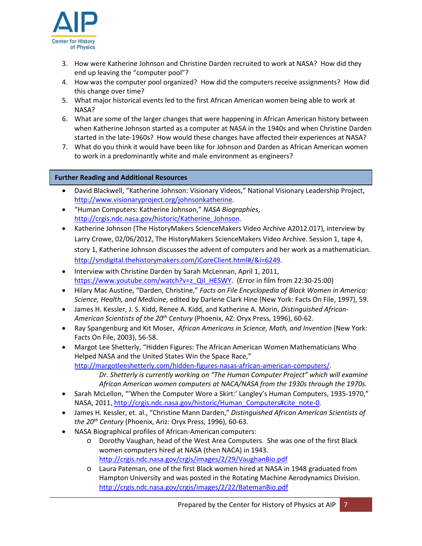

- 3. How were Katherine Johnson and Christine Darden recruited to work at NASA? How did they end up leaving the "computer pool"?
- 4. How was the computer pool organized? How did the computers receive assignments? How did this change over time?
- 5. What major historical events led to the first African American women being able to work at NASA?
- 6. What are some of the larger changes that were happening in African American history between when Katherine Johnson started as a computer at NASA in the 1940s and when Christine Darden started in the late-1960s? How would these changes have affected their experiences at NASA?
- 7. What do you think it would have been like for Johnson and Darden as African American women to work in a predominantly white and male environment as engineers?

#### **Further Reading and Additional Resources**

- David Blackwell, "Katherine Johnson: Visionary Videos," National Visionary Leadership Project, [http://www.visionaryproject.org/johnsonkatherine.](http://www.visionaryproject.org/johnsonkatherine)
- "Human Computers: Katherine Johnson," *NASA Biographies*, [http://crgis.ndc.nasa.gov/historic/Katherine\\_Johnson.](http://crgis.ndc.nasa.gov/historic/Katherine_Johnson)
- Katherine Johnson (The HistoryMakers ScienceMakers Video Archive A2012.017), interview by Larry Crowe, 02/06/2012, The HistoryMakers ScienceMakers Video Archive. Session 1, tape 4, story 1, Katherine Johnson discusses the advent of computers and her work as a mathematician. [http://smdigital.thehistorymakers.com/iCoreClient.html#/&i=6249.](http://smdigital.thehistorymakers.com/iCoreClient.html#/&i=6249)
- Interview with Christine Darden by Sarah McLennan, April 1, 2011, [https://www.youtube.com/watch?v=z\\_QiI\\_HESWY.](https://www.youtube.com/watch?v=z_QiI_HESWY) (Error in film from 22:30-25:00)
- Hilary Mac Austine, "Darden, Christine," *Facts on File Encyclopedia of Black Women in America: Science, Health, and Medicine*, edited by Darlene Clark Hine (New York: Facts On File, 1997), 59.
- James H. Kessler, J. S. Kidd, Renee A. Kidd, and Katherine A. Morin, *Distinguished African-American Scientists of the 20th Century* (Phoenix, AZ: Oryx Press, 1996), 60-62.
- Ray Spangenburg and Kit Moser, *African Americans in Science, Math, and Invention* (New York: Facts On File, 2003), 56-58.
- Margot Lee Shetterly, "Hidden Figures: The African American Women Mathematicians Who Helped NASA and the United States Win the Space Race," [http://margotleeshetterly.com/hidden-figures-nasas-african-american-computers/.](http://margotleeshetterly.com/hidden-figures-nasas-african-american-computers/) *Dr. Shetterly is currently working on "The Human Computer Project" which will examine*

*African American women computers at NACA/NASA from the 1930s through the 1970s.*

- Sarah McLellon, "'When the Computer Wore a Skirt:' Langley's Human Computers, 1935-1970," NASA, 2011[, http://crgis.ndc.nasa.gov/historic/Human\\_Computers#cite\\_note-0.](http://crgis.ndc.nasa.gov/historic/Human_Computers#cite_note-0)
- James H. Kessler, et. al., "Christine Mann Darden," *Distinguished African American Scientists of the 20th Century* (Phoenix, Ariz: Oryx Press, 1996), 60-63.
- NASA Biographical profiles of African-American computers:
	- o Dorothy Vaughan, head of the West Area Computers. She was one of the first Black women computers hired at NASA (then NACA) in 1943. <http://crgis.ndc.nasa.gov/crgis/images/2/29/VaughanBio.pdf>
	- o Laura Pateman, one of the first Black women hired at NASA in 1948 graduated from Hampton University and was posted in the Rotating Machine Aerodynamics Division. <http://crgis.ndc.nasa.gov/crgis/images/2/22/BatemanBio.pdf>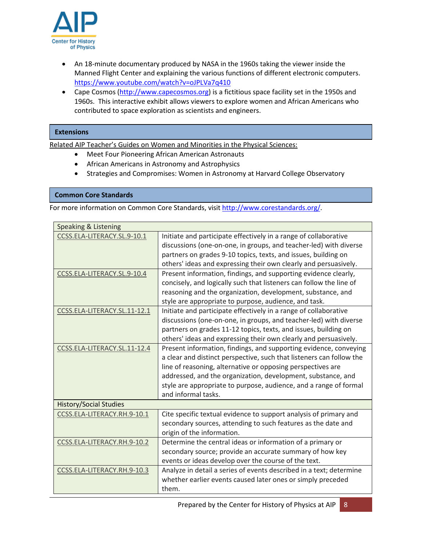

- An 18-minute documentary produced by NASA in the 1960s taking the viewer inside the Manned Flight Center and explaining the various functions of different electronic computers. <https://www.youtube.com/watch?v=oJPLVa7q410>
- Cape Cosmos [\(http://www.capecosmos.org\)](http://www.capecosmos.org/) is a fictitious space facility set in the 1950s and 1960s. This interactive exhibit allows viewers to explore women and African Americans who contributed to space exploration as scientists and engineers.

#### **Extensions**

Related AIP Teacher's Guides on Women and Minorities in the Physical Sciences:

- Meet Four Pioneering African American Astronauts
- African Americans in Astronomy and Astrophysics
- Strategies and Compromises: Women in Astronomy at Harvard College Observatory

#### **Common Core Standards**

For more information on Common Core Standards, visi[t http://www.corestandards.org/.](http://www.corestandards.org/)

| <b>Speaking &amp; Listening</b> |                                                                      |
|---------------------------------|----------------------------------------------------------------------|
| CCSS.ELA-LITERACY.SL.9-10.1     | Initiate and participate effectively in a range of collaborative     |
|                                 | discussions (one-on-one, in groups, and teacher-led) with diverse    |
|                                 | partners on grades 9-10 topics, texts, and issues, building on       |
|                                 | others' ideas and expressing their own clearly and persuasively.     |
| CCSS.ELA-LITERACY.SL.9-10.4     | Present information, findings, and supporting evidence clearly,      |
|                                 | concisely, and logically such that listeners can follow the line of  |
|                                 | reasoning and the organization, development, substance, and          |
|                                 | style are appropriate to purpose, audience, and task.                |
| CCSS.ELA-LITERACY.SL.11-12.1    | Initiate and participate effectively in a range of collaborative     |
|                                 | discussions (one-on-one, in groups, and teacher-led) with diverse    |
|                                 | partners on grades 11-12 topics, texts, and issues, building on      |
|                                 | others' ideas and expressing their own clearly and persuasively.     |
| CCSS.ELA-LITERACY.SL.11-12.4    | Present information, findings, and supporting evidence, conveying    |
|                                 | a clear and distinct perspective, such that listeners can follow the |
|                                 | line of reasoning, alternative or opposing perspectives are          |
|                                 | addressed, and the organization, development, substance, and         |
|                                 | style are appropriate to purpose, audience, and a range of formal    |
|                                 | and informal tasks.                                                  |
| <b>History/Social Studies</b>   |                                                                      |
| CCSS.ELA-LITERACY.RH.9-10.1     | Cite specific textual evidence to support analysis of primary and    |
|                                 | secondary sources, attending to such features as the date and        |
|                                 | origin of the information.                                           |
| CCSS.ELA-LITERACY.RH.9-10.2     | Determine the central ideas or information of a primary or           |
|                                 | secondary source; provide an accurate summary of how key             |
|                                 | events or ideas develop over the course of the text.                 |
| CCSS.ELA-LITERACY.RH.9-10.3     | Analyze in detail a series of events described in a text; determine  |
|                                 | whether earlier events caused later ones or simply preceded          |
|                                 | them.                                                                |